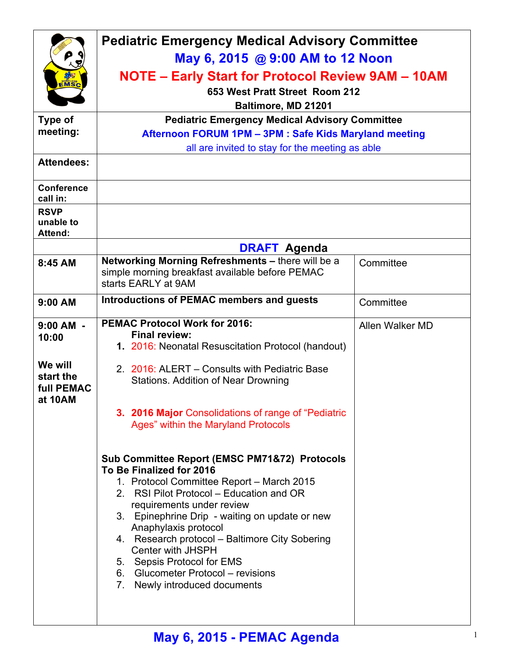|                                                                              | <b>Pediatric Emergency Medical Advisory Committee</b>                                                                                                                                                                                                                                                                                                                                                                                                                                                                                                                                                                                                                                                                                                                                      |                 |  |
|------------------------------------------------------------------------------|--------------------------------------------------------------------------------------------------------------------------------------------------------------------------------------------------------------------------------------------------------------------------------------------------------------------------------------------------------------------------------------------------------------------------------------------------------------------------------------------------------------------------------------------------------------------------------------------------------------------------------------------------------------------------------------------------------------------------------------------------------------------------------------------|-----------------|--|
|                                                                              | May 6, 2015 @ 9:00 AM to 12 Noon                                                                                                                                                                                                                                                                                                                                                                                                                                                                                                                                                                                                                                                                                                                                                           |                 |  |
| EMSC                                                                         | NOTE – Early Start for Protocol Review 9AM – 10AM                                                                                                                                                                                                                                                                                                                                                                                                                                                                                                                                                                                                                                                                                                                                          |                 |  |
|                                                                              | 653 West Pratt Street Room 212                                                                                                                                                                                                                                                                                                                                                                                                                                                                                                                                                                                                                                                                                                                                                             |                 |  |
|                                                                              | Baltimore, MD 21201                                                                                                                                                                                                                                                                                                                                                                                                                                                                                                                                                                                                                                                                                                                                                                        |                 |  |
| Type of<br>meeting:                                                          | <b>Pediatric Emergency Medical Advisory Committee</b>                                                                                                                                                                                                                                                                                                                                                                                                                                                                                                                                                                                                                                                                                                                                      |                 |  |
|                                                                              | Afternoon FORUM 1PM - 3PM : Safe Kids Maryland meeting<br>all are invited to stay for the meeting as able                                                                                                                                                                                                                                                                                                                                                                                                                                                                                                                                                                                                                                                                                  |                 |  |
| <b>Attendees:</b>                                                            |                                                                                                                                                                                                                                                                                                                                                                                                                                                                                                                                                                                                                                                                                                                                                                                            |                 |  |
| <b>Conference</b><br>call in:                                                |                                                                                                                                                                                                                                                                                                                                                                                                                                                                                                                                                                                                                                                                                                                                                                                            |                 |  |
| <b>RSVP</b><br>unable to<br>Attend:                                          |                                                                                                                                                                                                                                                                                                                                                                                                                                                                                                                                                                                                                                                                                                                                                                                            |                 |  |
|                                                                              | <b>DRAFT Agenda</b>                                                                                                                                                                                                                                                                                                                                                                                                                                                                                                                                                                                                                                                                                                                                                                        |                 |  |
| 8:45 AM                                                                      | Networking Morning Refreshments - there will be a<br>simple morning breakfast available before PEMAC<br>starts EARLY at 9AM                                                                                                                                                                                                                                                                                                                                                                                                                                                                                                                                                                                                                                                                | Committee       |  |
| 9:00 AM                                                                      | Introductions of PEMAC members and guests                                                                                                                                                                                                                                                                                                                                                                                                                                                                                                                                                                                                                                                                                                                                                  | Committee       |  |
| $9:00$ AM -<br>10:00<br>We will<br>start the<br><b>full PEMAC</b><br>at 10AM | <b>PEMAC Protocol Work for 2016:</b><br><b>Final review:</b><br>1. 2016: Neonatal Resuscitation Protocol (handout)<br>2. 2016: ALERT – Consults with Pediatric Base<br><b>Stations. Addition of Near Drowning</b><br>3. 2016 Major Consolidations of range of "Pediatric<br>Ages" within the Maryland Protocols<br><b>Sub Committee Report (EMSC PM71&amp;72) Protocols</b><br>To Be Finalized for 2016<br>1. Protocol Committee Report - March 2015<br>2. RSI Pilot Protocol – Education and OR<br>requirements under review<br>3. Epinephrine Drip - waiting on update or new<br>Anaphylaxis protocol<br>4. Research protocol - Baltimore City Sobering<br><b>Center with JHSPH</b><br>5. Sepsis Protocol for EMS<br>6. Glucometer Protocol – revisions<br>7. Newly introduced documents | Allen Walker MD |  |
|                                                                              |                                                                                                                                                                                                                                                                                                                                                                                                                                                                                                                                                                                                                                                                                                                                                                                            |                 |  |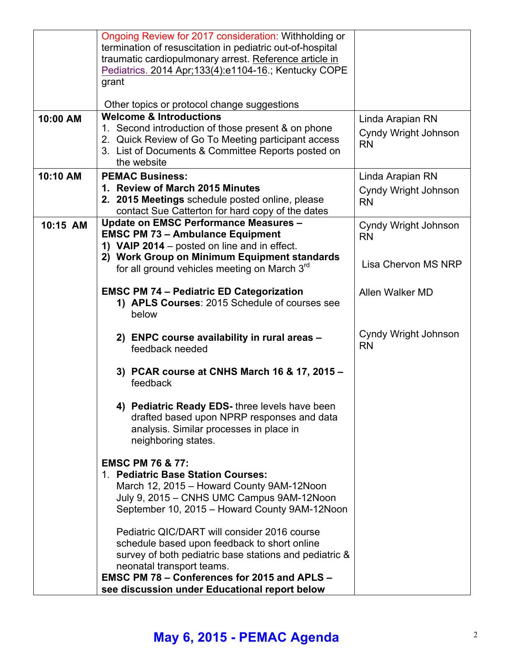|          | Ongoing Review for 2017 consideration: Withholding or<br>termination of resuscitation in pediatric out-of-hospital<br>traumatic cardiopulmonary arrest. Reference article in<br>Pediatrics. 2014 Apr; 133(4): e1104-16.; Kentucky COPE<br>grant                                             |                                                       |
|----------|---------------------------------------------------------------------------------------------------------------------------------------------------------------------------------------------------------------------------------------------------------------------------------------------|-------------------------------------------------------|
| 10:00 AM | Other topics or protocol change suggestions<br><b>Welcome &amp; Introductions</b>                                                                                                                                                                                                           |                                                       |
|          | 1. Second introduction of those present & on phone<br>2. Quick Review of Go To Meeting participant access<br>3. List of Documents & Committee Reports posted on<br>the website                                                                                                              | Linda Arapian RN<br>Cyndy Wright Johnson<br><b>RN</b> |
| 10:10 AM | <b>PEMAC Business:</b>                                                                                                                                                                                                                                                                      | Linda Arapian RN                                      |
|          | 1. Review of March 2015 Minutes<br>2. 2015 Meetings schedule posted online, please<br>contact Sue Catterton for hard copy of the dates                                                                                                                                                      | Cyndy Wright Johnson<br><b>RN</b>                     |
| 10:15 AM | <b>Update on EMSC Performance Measures -</b><br><b>EMSC PM 73 - Ambulance Equipment</b><br>1) VAIP 2014 - posted on line and in effect.                                                                                                                                                     | Cyndy Wright Johnson<br><b>RN</b>                     |
|          | 2) Work Group on Minimum Equipment standards<br>for all ground vehicles meeting on March 3 <sup>rd</sup>                                                                                                                                                                                    | Lisa Chervon MS NRP                                   |
|          | <b>EMSC PM 74 - Pediatric ED Categorization</b><br>1) APLS Courses: 2015 Schedule of courses see<br>below                                                                                                                                                                                   | Allen Walker MD                                       |
|          | 2) ENPC course availability in rural areas -<br>feedback needed                                                                                                                                                                                                                             | Cyndy Wright Johnson<br><b>RN</b>                     |
|          | 3) PCAR course at CNHS March 16 & 17, 2015 -<br>feedback                                                                                                                                                                                                                                    |                                                       |
|          | 4) Pediatric Ready EDS- three levels have been<br>drafted based upon NPRP responses and data<br>analysis. Similar processes in place in<br>neighboring states.                                                                                                                              |                                                       |
|          | <b>EMSC PM 76 &amp; 77:</b><br>1. Pediatric Base Station Courses:<br>March 12, 2015 - Howard County 9AM-12Noon<br>July 9, 2015 - CNHS UMC Campus 9AM-12Noon<br>September 10, 2015 - Howard County 9AM-12Noon                                                                                |                                                       |
|          | Pediatric QIC/DART will consider 2016 course<br>schedule based upon feedback to short online<br>survey of both pediatric base stations and pediatric &<br>neonatal transport teams.<br><b>EMSC PM 78 - Conferences for 2015 and APLS -</b><br>see discussion under Educational report below |                                                       |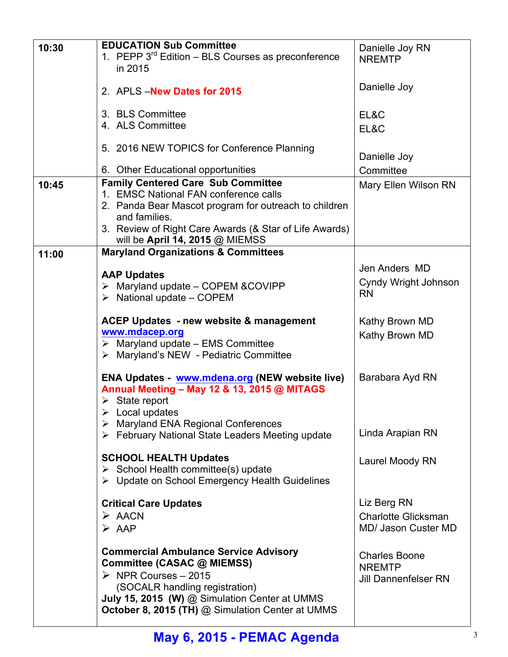| 10:30 | <b>EDUCATION Sub Committee</b>                                                            | Danielle Joy RN             |
|-------|-------------------------------------------------------------------------------------------|-----------------------------|
|       | 1. PEPP $3^{rd}$ Edition – BLS Courses as preconference                                   | <b>NREMTP</b>               |
|       | in 2015                                                                                   |                             |
|       | 2. APLS - New Dates for 2015                                                              | Danielle Joy                |
|       |                                                                                           |                             |
|       | 3. BLS Committee                                                                          | EL&C                        |
|       | 4. ALS Committee                                                                          | EL&C                        |
|       | 5. 2016 NEW TOPICS for Conference Planning                                                | Danielle Joy                |
|       | 6. Other Educational opportunities                                                        | Committee                   |
| 10:45 | <b>Family Centered Care Sub Committee</b>                                                 | Mary Ellen Wilson RN        |
|       | 1. EMSC National FAN conference calls                                                     |                             |
|       | 2. Panda Bear Mascot program for outreach to children                                     |                             |
|       | and families.                                                                             |                             |
|       | 3. Review of Right Care Awards (& Star of Life Awards)<br>will be April 14, 2015 @ MIEMSS |                             |
| 11:00 | <b>Maryland Organizations &amp; Committees</b>                                            |                             |
|       |                                                                                           | Jen Anders MD               |
|       | <b>AAP Updates</b>                                                                        | Cyndy Wright Johnson        |
|       | $\triangleright$ Maryland update – COPEM & COVIPP                                         | <b>RN</b>                   |
|       | $\triangleright$ National update – COPEM                                                  |                             |
|       | ACEP Updates - new website & management                                                   | Kathy Brown MD              |
|       | www.mdacep.org                                                                            | Kathy Brown MD              |
|       | $\triangleright$ Maryland update – EMS Committee                                          |                             |
|       | > Maryland's NEW - Pediatric Committee                                                    |                             |
|       | ENA Updates - www.mdena.org (NEW website live)                                            | Barabara Ayd RN             |
|       | Annual Meeting - May 12 & 13, 2015 @ MITAGS                                               |                             |
|       | $\triangleright$ State report                                                             |                             |
|       | $\triangleright$ Local updates                                                            |                             |
|       | $\triangleright$ Maryland ENA Regional Conferences                                        |                             |
|       | $\triangleright$ February National State Leaders Meeting update                           | Linda Arapian RN            |
|       | <b>SCHOOL HEALTH Updates</b>                                                              |                             |
|       | $\triangleright$ School Health committee(s) update                                        | Laurel Moody RN             |
|       | ▶ Update on School Emergency Health Guidelines                                            |                             |
|       |                                                                                           |                             |
|       | <b>Critical Care Updates</b>                                                              | Liz Berg RN                 |
|       | $\triangleright$ AACN                                                                     | <b>Charlotte Glicksman</b>  |
|       | $\triangleright$ AAP                                                                      | MD/ Jason Custer MD         |
|       | <b>Commercial Ambulance Service Advisory</b>                                              |                             |
|       | Committee (CASAC @ MIEMSS)                                                                | <b>Charles Boone</b>        |
|       | $\triangleright$ NPR Courses - 2015                                                       | <b>NREMTP</b>               |
|       | (SOCALR handling registration)                                                            | <b>Jill Dannenfelser RN</b> |
|       | July 15, 2015 (W) @ Simulation Center at UMMS                                             |                             |
|       | October 8, 2015 (TH) @ Simulation Center at UMMS                                          |                             |
|       |                                                                                           |                             |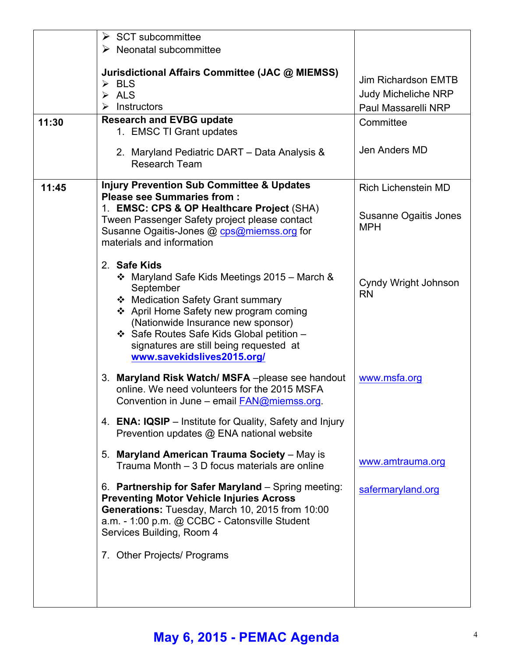|       | $\triangleright$ SCT subcommittee<br>$\triangleright$ Neonatal subcommittee                                                                                                                                                                                                                                          |                                                                                 |
|-------|----------------------------------------------------------------------------------------------------------------------------------------------------------------------------------------------------------------------------------------------------------------------------------------------------------------------|---------------------------------------------------------------------------------|
|       | Jurisdictional Affairs Committee (JAC @ MIEMSS)<br>$\triangleright$ BLS<br>$\triangleright$ ALS<br>Instructors<br>≻                                                                                                                                                                                                  | <b>Jim Richardson EMTB</b><br><b>Judy Micheliche NRP</b><br>Paul Massarelli NRP |
| 11:30 | <b>Research and EVBG update</b><br>1. EMSC TI Grant updates                                                                                                                                                                                                                                                          | Committee                                                                       |
|       | 2. Maryland Pediatric DART - Data Analysis &<br><b>Research Team</b>                                                                                                                                                                                                                                                 | Jen Anders MD                                                                   |
| 11:45 | <b>Injury Prevention Sub Committee &amp; Updates</b><br><b>Please see Summaries from:</b>                                                                                                                                                                                                                            | <b>Rich Lichenstein MD</b>                                                      |
|       | 1. EMSC: CPS & OP Healthcare Project (SHA)<br>Tween Passenger Safety project please contact<br>Susanne Ogaitis-Jones @ cps@miemss.org for<br>materials and information                                                                                                                                               | Susanne Ogaitis Jones<br><b>MPH</b>                                             |
|       | 2. Safe Kids<br>❖ Maryland Safe Kids Meetings 2015 – March &<br>September<br>❖ Medication Safety Grant summary<br>❖ April Home Safety new program coming<br>(Nationwide Insurance new sponsor)<br>❖ Safe Routes Safe Kids Global petition -<br>signatures are still being requested at<br>www.savekidslives2015.org/ | Cyndy Wright Johnson<br><b>RN</b>                                               |
|       | 3. Maryland Risk Watch/MSFA-please see handout<br>online. We need volunteers for the 2015 MSFA<br>Convention in June - email <b>FAN@miemss.org</b>                                                                                                                                                                   | www.msfa.org                                                                    |
|       | 4. ENA: IQSIP – Institute for Quality, Safety and Injury<br>Prevention updates @ ENA national website                                                                                                                                                                                                                |                                                                                 |
|       | 5. Maryland American Trauma Society - May is<br>Trauma Month – 3 D focus materials are online                                                                                                                                                                                                                        | www.amtrauma.org                                                                |
|       | 6. Partnership for Safer Maryland - Spring meeting:<br><b>Preventing Motor Vehicle Injuries Across</b><br>Generations: Tuesday, March 10, 2015 from 10:00<br>a.m. - 1:00 p.m. @ CCBC - Catonsville Student<br>Services Building, Room 4                                                                              | safermaryland.org                                                               |
|       | 7. Other Projects/ Programs                                                                                                                                                                                                                                                                                          |                                                                                 |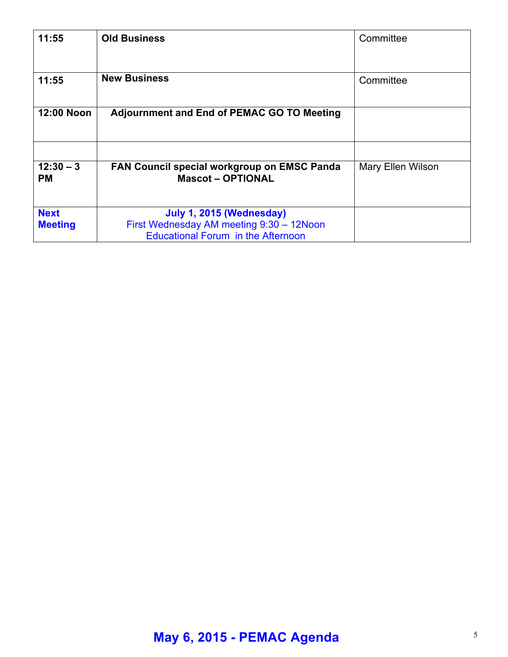| 11:55                         | <b>Old Business</b>                                                                                               | Committee                |
|-------------------------------|-------------------------------------------------------------------------------------------------------------------|--------------------------|
| 11:55                         | <b>New Business</b>                                                                                               | Committee                |
| 12:00 Noon                    | <b>Adjournment and End of PEMAC GO TO Meeting</b>                                                                 |                          |
|                               |                                                                                                                   |                          |
| $12:30 - 3$<br><b>PM</b>      | FAN Council special workgroup on EMSC Panda<br><b>Mascot-OPTIONAL</b>                                             | <b>Mary Ellen Wilson</b> |
| <b>Next</b><br><b>Meeting</b> | July 1, 2015 (Wednesday)<br>First Wednesday AM meeting 9:30 - 12Noon<br><b>Educational Forum in the Afternoon</b> |                          |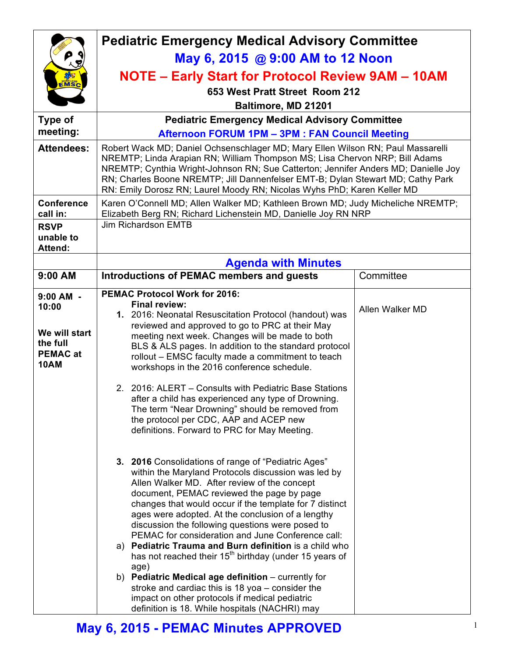|                                                                                     | <b>Pediatric Emergency Medical Advisory Committee</b>                                                                                                                                                                                                                                                                                                                                                                                                                                                                                                                                                                                                                                                                              |                 |  |
|-------------------------------------------------------------------------------------|------------------------------------------------------------------------------------------------------------------------------------------------------------------------------------------------------------------------------------------------------------------------------------------------------------------------------------------------------------------------------------------------------------------------------------------------------------------------------------------------------------------------------------------------------------------------------------------------------------------------------------------------------------------------------------------------------------------------------------|-----------------|--|
|                                                                                     | May 6, 2015 @ 9:00 AM to 12 Noon                                                                                                                                                                                                                                                                                                                                                                                                                                                                                                                                                                                                                                                                                                   |                 |  |
|                                                                                     | <b>NOTE - Early Start for Protocol Review 9AM - 10AM</b>                                                                                                                                                                                                                                                                                                                                                                                                                                                                                                                                                                                                                                                                           |                 |  |
| EMSC                                                                                | 653 West Pratt Street Room 212                                                                                                                                                                                                                                                                                                                                                                                                                                                                                                                                                                                                                                                                                                     |                 |  |
|                                                                                     | Baltimore, MD 21201                                                                                                                                                                                                                                                                                                                                                                                                                                                                                                                                                                                                                                                                                                                |                 |  |
| Type of                                                                             | <b>Pediatric Emergency Medical Advisory Committee</b>                                                                                                                                                                                                                                                                                                                                                                                                                                                                                                                                                                                                                                                                              |                 |  |
| meeting:                                                                            | <b>Afternoon FORUM 1PM - 3PM : FAN Council Meeting</b>                                                                                                                                                                                                                                                                                                                                                                                                                                                                                                                                                                                                                                                                             |                 |  |
| <b>Attendees:</b>                                                                   | Robert Wack MD; Daniel Ochsenschlager MD; Mary Ellen Wilson RN; Paul Massarelli<br>NREMTP; Linda Arapian RN; William Thompson MS; Lisa Chervon NRP; Bill Adams<br>NREMTP; Cynthia Wright-Johnson RN; Sue Catterton; Jennifer Anders MD; Danielle Joy<br>RN; Charles Boone NREMTP; Jill Dannenfelser EMT-B; Dylan Stewart MD; Cathy Park<br>RN: Emily Dorosz RN; Laurel Moody RN; Nicolas Wyhs PhD; Karen Keller MD                                                                                                                                                                                                                                                                                                                 |                 |  |
| <b>Conference</b><br>call in:                                                       | Karen O'Connell MD; Allen Walker MD; Kathleen Brown MD; Judy Micheliche NREMTP;<br>Elizabeth Berg RN; Richard Lichenstein MD, Danielle Joy RN NRP                                                                                                                                                                                                                                                                                                                                                                                                                                                                                                                                                                                  |                 |  |
| <b>RSVP</b><br>unable to<br><b>Attend:</b>                                          | <b>Jim Richardson EMTB</b>                                                                                                                                                                                                                                                                                                                                                                                                                                                                                                                                                                                                                                                                                                         |                 |  |
|                                                                                     | <b>Agenda with Minutes</b>                                                                                                                                                                                                                                                                                                                                                                                                                                                                                                                                                                                                                                                                                                         |                 |  |
| 9:00 AM                                                                             | <b>Introductions of PEMAC members and guests</b>                                                                                                                                                                                                                                                                                                                                                                                                                                                                                                                                                                                                                                                                                   | Committee       |  |
| $9:00$ AM -<br>10:00<br>We will start<br>the full<br><b>PEMAC at</b><br><b>10AM</b> | <b>PEMAC Protocol Work for 2016:</b><br><b>Final review:</b><br>1. 2016: Neonatal Resuscitation Protocol (handout) was<br>reviewed and approved to go to PRC at their May<br>meeting next week. Changes will be made to both<br>BLS & ALS pages. In addition to the standard protocol<br>rollout - EMSC faculty made a commitment to teach                                                                                                                                                                                                                                                                                                                                                                                         | Allen Walker MD |  |
|                                                                                     | workshops in the 2016 conference schedule.<br>2. 2016: ALERT – Consults with Pediatric Base Stations<br>after a child has experienced any type of Drowning.<br>The term "Near Drowning" should be removed from<br>the protocol per CDC, AAP and ACEP new<br>definitions. Forward to PRC for May Meeting.<br>3. 2016 Consolidations of range of "Pediatric Ages"                                                                                                                                                                                                                                                                                                                                                                    |                 |  |
|                                                                                     | within the Maryland Protocols discussion was led by<br>Allen Walker MD. After review of the concept<br>document, PEMAC reviewed the page by page<br>changes that would occur if the template for 7 distinct<br>ages were adopted. At the conclusion of a lengthy<br>discussion the following questions were posed to<br>PEMAC for consideration and June Conference call:<br>a) Pediatric Trauma and Burn definition is a child who<br>has not reached their 15 <sup>th</sup> birthday (under 15 years of<br>age)<br>b) Pediatric Medical age definition $-$ currently for<br>stroke and cardiac this is 18 yoa – consider the<br>impact on other protocols if medical pediatric<br>definition is 18. While hospitals (NACHRI) may |                 |  |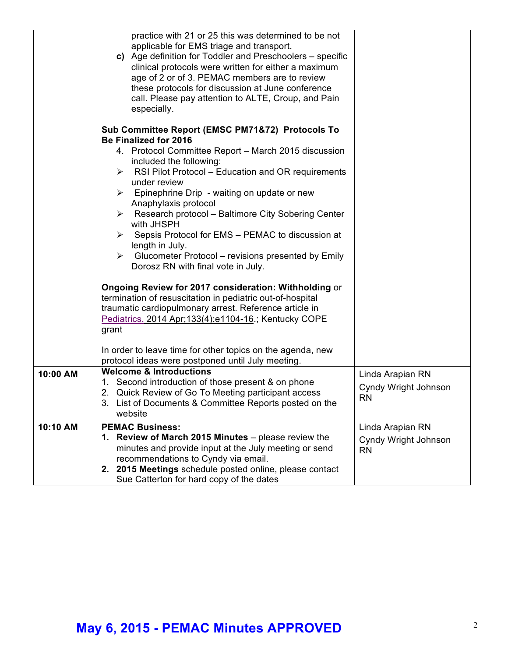|          | practice with 21 or 25 this was determined to be not<br>applicable for EMS triage and transport.<br>c) Age definition for Toddler and Preschoolers – specific<br>clinical protocols were written for either a maximum<br>age of 2 or of 3. PEMAC members are to review<br>these protocols for discussion at June conference<br>call. Please pay attention to ALTE, Croup, and Pain<br>especially.<br>Sub Committee Report (EMSC PM71&72) Protocols To |                                                       |
|----------|-------------------------------------------------------------------------------------------------------------------------------------------------------------------------------------------------------------------------------------------------------------------------------------------------------------------------------------------------------------------------------------------------------------------------------------------------------|-------------------------------------------------------|
|          | <b>Be Finalized for 2016</b><br>4. Protocol Committee Report - March 2015 discussion<br>included the following:<br>RSI Pilot Protocol - Education and OR requirements<br>➤<br>under review<br>Epinephrine Drip - waiting on update or new<br>≻<br>Anaphylaxis protocol<br>Research protocol - Baltimore City Sobering Center<br>$\blacktriangleright$<br>with JHSPH                                                                                   |                                                       |
|          | $\triangleright$ Sepsis Protocol for EMS – PEMAC to discussion at<br>length in July.<br>$\triangleright$ Glucometer Protocol – revisions presented by Emily<br>Dorosz RN with final vote in July.<br>Ongoing Review for 2017 consideration: Withholding or<br>termination of resuscitation in pediatric out-of-hospital                                                                                                                               |                                                       |
|          | traumatic cardiopulmonary arrest. Reference article in<br>Pediatrics. 2014 Apr; 133(4): e1104-16.; Kentucky COPE<br>grant<br>In order to leave time for other topics on the agenda, new<br>protocol ideas were postponed until July meeting.                                                                                                                                                                                                          |                                                       |
| 10:00 AM | <b>Welcome &amp; Introductions</b><br>1. Second introduction of those present & on phone<br>2. Quick Review of Go To Meeting participant access<br>3. List of Documents & Committee Reports posted on the<br>website                                                                                                                                                                                                                                  | Linda Arapian RN<br>Cyndy Wright Johnson<br><b>RN</b> |
| 10:10 AM | <b>PEMAC Business:</b><br>1. Review of March 2015 Minutes - please review the<br>minutes and provide input at the July meeting or send<br>recommendations to Cyndy via email.<br>2. 2015 Meetings schedule posted online, please contact<br>Sue Catterton for hard copy of the dates                                                                                                                                                                  | Linda Arapian RN<br>Cyndy Wright Johnson<br><b>RN</b> |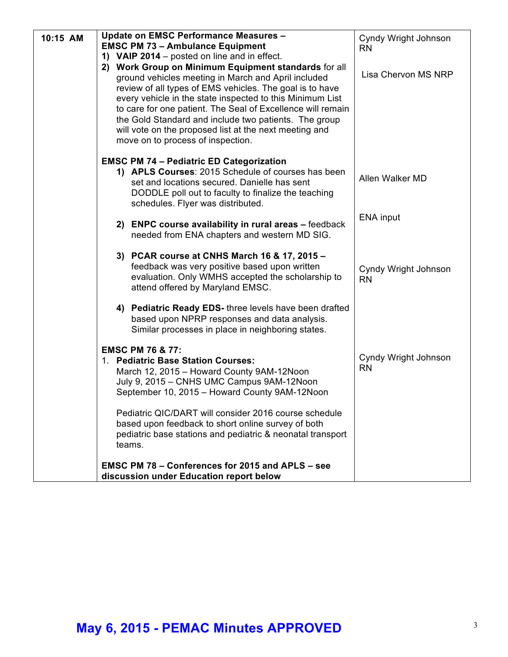| 10:15 AM | <b>Update on EMSC Performance Measures -</b><br><b>EMSC PM 73 - Ambulance Equipment</b><br>1) VAIP 2014 – posted on line and in effect.<br>2) Work Group on Minimum Equipment standards for all                                                                                                                                                                                                     | Cyndy Wright Johnson<br><b>RN</b> |
|----------|-----------------------------------------------------------------------------------------------------------------------------------------------------------------------------------------------------------------------------------------------------------------------------------------------------------------------------------------------------------------------------------------------------|-----------------------------------|
|          | ground vehicles meeting in March and April included<br>review of all types of EMS vehicles. The goal is to have<br>every vehicle in the state inspected to this Minimum List<br>to care for one patient. The Seal of Excellence will remain<br>the Gold Standard and include two patients. The group<br>will vote on the proposed list at the next meeting and<br>move on to process of inspection. | Lisa Chervon MS NRP               |
|          | <b>EMSC PM 74 - Pediatric ED Categorization</b><br>1) APLS Courses: 2015 Schedule of courses has been<br>set and locations secured. Danielle has sent<br>DODDLE poll out to faculty to finalize the teaching<br>schedules. Flyer was distributed.                                                                                                                                                   | Allen Walker MD                   |
|          | 2) ENPC course availability in rural areas - feedback<br>needed from ENA chapters and western MD SIG.                                                                                                                                                                                                                                                                                               | ENA input                         |
|          | 3) PCAR course at CNHS March 16 & 17, 2015 -<br>feedback was very positive based upon written<br>evaluation. Only WMHS accepted the scholarship to<br>attend offered by Maryland EMSC.                                                                                                                                                                                                              | Cyndy Wright Johnson<br><b>RN</b> |
|          | 4) Pediatric Ready EDS- three levels have been drafted<br>based upon NPRP responses and data analysis.<br>Similar processes in place in neighboring states.                                                                                                                                                                                                                                         |                                   |
|          | <b>EMSC PM 76 &amp; 77:</b><br>1. Pediatric Base Station Courses:<br>March 12, 2015 - Howard County 9AM-12Noon<br>July 9, 2015 - CNHS UMC Campus 9AM-12Noon<br>September 10, 2015 - Howard County 9AM-12Noon                                                                                                                                                                                        | Cyndy Wright Johnson<br><b>RN</b> |
|          | Pediatric QIC/DART will consider 2016 course schedule<br>based upon feedback to short online survey of both<br>pediatric base stations and pediatric & neonatal transport<br>teams.                                                                                                                                                                                                                 |                                   |
|          | <b>EMSC PM 78 - Conferences for 2015 and APLS - see</b><br>discussion under Education report below                                                                                                                                                                                                                                                                                                  |                                   |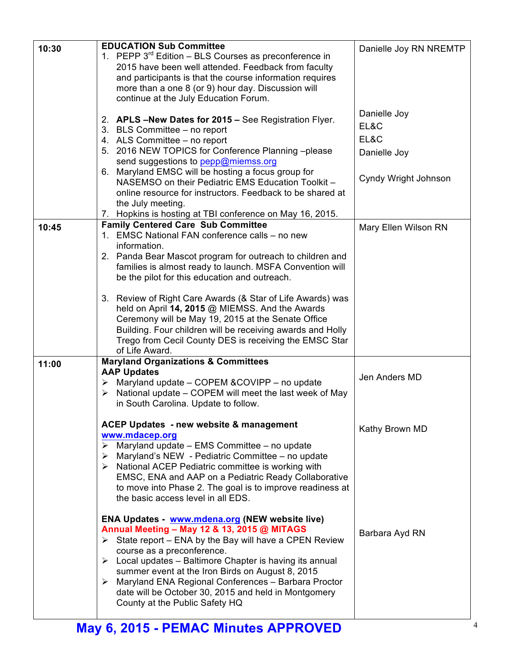| 10:30 | <b>EDUCATION Sub Committee</b><br>1. PEPP $3^{rd}$ Edition – BLS Courses as preconference in<br>2015 have been well attended. Feedback from faculty<br>and participants is that the course information requires                                                                                                                                                                                                                                                                                | Danielle Joy RN NREMTP       |
|-------|------------------------------------------------------------------------------------------------------------------------------------------------------------------------------------------------------------------------------------------------------------------------------------------------------------------------------------------------------------------------------------------------------------------------------------------------------------------------------------------------|------------------------------|
|       | more than a one 8 (or 9) hour day. Discussion will<br>continue at the July Education Forum.                                                                                                                                                                                                                                                                                                                                                                                                    |                              |
|       | 2. APLS -New Dates for 2015 - See Registration Flyer.<br>3. BLS Committee - no report<br>4. ALS Committee - no report                                                                                                                                                                                                                                                                                                                                                                          | Danielle Joy<br>EL&C<br>EL&C |
|       | 5. 2016 NEW TOPICS for Conference Planning -please<br>send suggestions to pepp@miemss.org                                                                                                                                                                                                                                                                                                                                                                                                      | Danielle Joy                 |
|       | 6. Maryland EMSC will be hosting a focus group for<br>NASEMSO on their Pediatric EMS Education Toolkit -<br>online resource for instructors. Feedback to be shared at<br>the July meeting.<br>Hopkins is hosting at TBI conference on May 16, 2015.<br>7.                                                                                                                                                                                                                                      | Cyndy Wright Johnson         |
| 10:45 | <b>Family Centered Care Sub Committee</b>                                                                                                                                                                                                                                                                                                                                                                                                                                                      | Mary Ellen Wilson RN         |
|       | 1. EMSC National FAN conference calls - no new                                                                                                                                                                                                                                                                                                                                                                                                                                                 |                              |
|       | information.<br>2. Panda Bear Mascot program for outreach to children and<br>families is almost ready to launch. MSFA Convention will<br>be the pilot for this education and outreach.                                                                                                                                                                                                                                                                                                         |                              |
|       | 3. Review of Right Care Awards (& Star of Life Awards) was<br>held on April 14, 2015 @ MIEMSS. And the Awards<br>Ceremony will be May 19, 2015 at the Senate Office<br>Building. Four children will be receiving awards and Holly<br>Trego from Cecil County DES is receiving the EMSC Star<br>of Life Award.                                                                                                                                                                                  |                              |
| 11:00 | <b>Maryland Organizations &amp; Committees</b><br><b>AAP Updates</b>                                                                                                                                                                                                                                                                                                                                                                                                                           |                              |
|       | Maryland update - COPEM & COVIPP - no update<br>➤<br>National update - COPEM will meet the last week of May<br>≻<br>in South Carolina. Update to follow.                                                                                                                                                                                                                                                                                                                                       | Jen Anders MD                |
|       | <b>ACEP Updates - new website &amp; management</b>                                                                                                                                                                                                                                                                                                                                                                                                                                             | Kathy Brown MD               |
|       | www.mdacep.org<br>Maryland update - EMS Committee - no update<br>$\blacktriangleright$<br>Maryland's NEW - Pediatric Committee - no update<br>➤<br>$\triangleright$ National ACEP Pediatric committee is working with<br>EMSC, ENA and AAP on a Pediatric Ready Collaborative<br>to move into Phase 2. The goal is to improve readiness at<br>the basic access level in all EDS.                                                                                                               |                              |
|       | <b>ENA Updates - www.mdena.org (NEW website live)</b><br>Annual Meeting - May 12 & 13, 2015 @ MITAGS<br>$\triangleright$ State report – ENA by the Bay will have a CPEN Review<br>course as a preconference.<br>$\triangleright$ Local updates – Baltimore Chapter is having its annual<br>summer event at the Iron Birds on August 8, 2015<br>> Maryland ENA Regional Conferences - Barbara Proctor<br>date will be October 30, 2015 and held in Montgomery<br>County at the Public Safety HQ | Barbara Ayd RN               |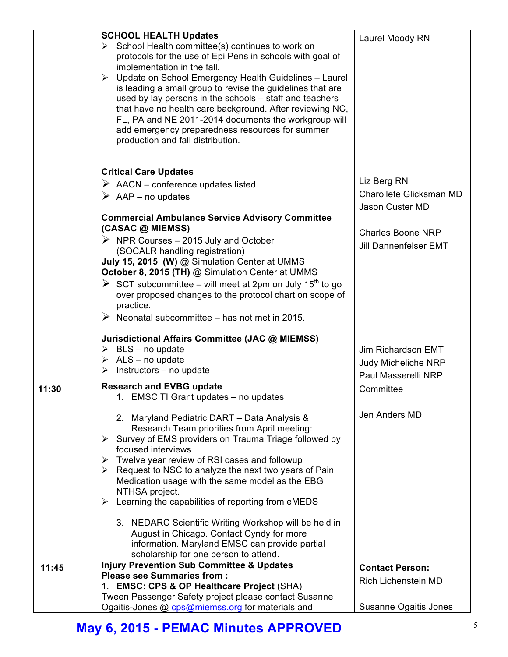|       | <b>SCHOOL HEALTH Updates</b>                                                                                                                                                                                                                                                                                                                                                                                                                                                                                                                     |                              |
|-------|--------------------------------------------------------------------------------------------------------------------------------------------------------------------------------------------------------------------------------------------------------------------------------------------------------------------------------------------------------------------------------------------------------------------------------------------------------------------------------------------------------------------------------------------------|------------------------------|
|       | > School Health committee(s) continues to work on<br>protocols for the use of Epi Pens in schools with goal of<br>implementation in the fall.<br>Update on School Emergency Health Guidelines - Laurel<br>➤<br>is leading a small group to revise the guidelines that are<br>used by lay persons in the schools – staff and teachers<br>that have no health care background. After reviewing NC,<br>FL, PA and NE 2011-2014 documents the workgroup will<br>add emergency preparedness resources for summer<br>production and fall distribution. | Laurel Moody RN              |
|       | <b>Critical Care Updates</b>                                                                                                                                                                                                                                                                                                                                                                                                                                                                                                                     |                              |
|       | $\triangleright$ AACN – conference updates listed                                                                                                                                                                                                                                                                                                                                                                                                                                                                                                | Liz Berg RN                  |
|       | $\triangleright$ AAP – no updates                                                                                                                                                                                                                                                                                                                                                                                                                                                                                                                | Charollete Glicksman MD      |
|       |                                                                                                                                                                                                                                                                                                                                                                                                                                                                                                                                                  | Jason Custer MD              |
|       | <b>Commercial Ambulance Service Advisory Committee</b><br>(CASAC @ MIEMSS)                                                                                                                                                                                                                                                                                                                                                                                                                                                                       | <b>Charles Boone NRP</b>     |
|       | $\triangleright$ NPR Courses – 2015 July and October                                                                                                                                                                                                                                                                                                                                                                                                                                                                                             | <b>Jill Dannenfelser EMT</b> |
|       | (SOCALR handling registration)<br>July 15, 2015 (W) @ Simulation Center at UMMS                                                                                                                                                                                                                                                                                                                                                                                                                                                                  |                              |
|       | October 8, 2015 (TH) @ Simulation Center at UMMS                                                                                                                                                                                                                                                                                                                                                                                                                                                                                                 |                              |
|       | $\triangleright$ SCT subcommittee – will meet at 2pm on July 15 <sup>th</sup> to go                                                                                                                                                                                                                                                                                                                                                                                                                                                              |                              |
|       | over proposed changes to the protocol chart on scope of<br>practice.                                                                                                                                                                                                                                                                                                                                                                                                                                                                             |                              |
|       | $\triangleright$ Neonatal subcommittee – has not met in 2015.                                                                                                                                                                                                                                                                                                                                                                                                                                                                                    |                              |
|       | Jurisdictional Affairs Committee (JAC @ MIEMSS)                                                                                                                                                                                                                                                                                                                                                                                                                                                                                                  |                              |
|       | $\triangleright$ BLS - no update                                                                                                                                                                                                                                                                                                                                                                                                                                                                                                                 | Jim Richardson EMT           |
|       | ALS - no update<br>$\blacktriangleright$<br>≻                                                                                                                                                                                                                                                                                                                                                                                                                                                                                                    | <b>Judy Micheliche NRP</b>   |
|       | Instructors - no update                                                                                                                                                                                                                                                                                                                                                                                                                                                                                                                          | Paul Masserelli NRP          |
| 11:30 | <b>Research and EVBG update</b>                                                                                                                                                                                                                                                                                                                                                                                                                                                                                                                  | Committee                    |
|       | 1. EMSC TI Grant updates - no updates                                                                                                                                                                                                                                                                                                                                                                                                                                                                                                            |                              |
|       | 2. Maryland Pediatric DART - Data Analysis &                                                                                                                                                                                                                                                                                                                                                                                                                                                                                                     | Jen Anders MD                |
|       | Research Team priorities from April meeting:                                                                                                                                                                                                                                                                                                                                                                                                                                                                                                     |                              |
|       | > Survey of EMS providers on Trauma Triage followed by                                                                                                                                                                                                                                                                                                                                                                                                                                                                                           |                              |
|       | focused interviews                                                                                                                                                                                                                                                                                                                                                                                                                                                                                                                               |                              |
|       | Twelve year review of RSI cases and followup<br>➤                                                                                                                                                                                                                                                                                                                                                                                                                                                                                                |                              |
|       | $\triangleright$ Request to NSC to analyze the next two years of Pain<br>Medication usage with the same model as the EBG                                                                                                                                                                                                                                                                                                                                                                                                                         |                              |
|       | NTHSA project.                                                                                                                                                                                                                                                                                                                                                                                                                                                                                                                                   |                              |
|       | Learning the capabilities of reporting from eMEDS<br>➤                                                                                                                                                                                                                                                                                                                                                                                                                                                                                           |                              |
|       |                                                                                                                                                                                                                                                                                                                                                                                                                                                                                                                                                  |                              |
|       | 3. NEDARC Scientific Writing Workshop will be held in                                                                                                                                                                                                                                                                                                                                                                                                                                                                                            |                              |
|       | August in Chicago. Contact Cyndy for more                                                                                                                                                                                                                                                                                                                                                                                                                                                                                                        |                              |
|       | information. Maryland EMSC can provide partial<br>scholarship for one person to attend.                                                                                                                                                                                                                                                                                                                                                                                                                                                          |                              |
| 11:45 | <b>Injury Prevention Sub Committee &amp; Updates</b>                                                                                                                                                                                                                                                                                                                                                                                                                                                                                             | <b>Contact Person:</b>       |
|       | <b>Please see Summaries from:</b>                                                                                                                                                                                                                                                                                                                                                                                                                                                                                                                |                              |
|       | 1. EMSC: CPS & OP Healthcare Project (SHA)                                                                                                                                                                                                                                                                                                                                                                                                                                                                                                       | Rich Lichenstein MD          |
|       | Tween Passenger Safety project please contact Susanne                                                                                                                                                                                                                                                                                                                                                                                                                                                                                            |                              |
|       | Ogaitis-Jones @ cps@miemss.org for materials and                                                                                                                                                                                                                                                                                                                                                                                                                                                                                                 | <b>Susanne Ogaitis Jones</b> |